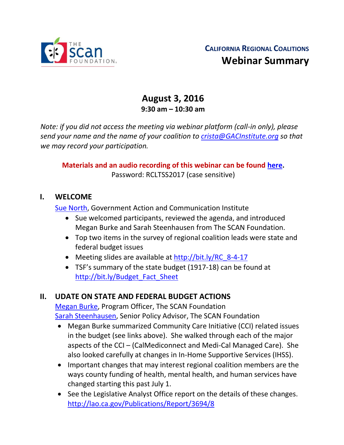

# **August 3, 2016 9:30 am – 10:30 am**

*Note: if you did not access the meeting via webinar platform (call-in only), please send your name and the name of your coalition to [crista@GACInstitute.org](mailto:crista@GACInstitute.org) so that we may record your participation.* 

#### **Materials and an audio recording of this webinar can be found [here.](http://www.ccltss.org/regional-coalition-meeting-materials/)** Password: RCLTSS2017 (case sensitive)

#### **I. WELCOME**

[Sue North,](mailto:snorthca@gmail.com) Government Action and Communication Institute

- Sue welcomed participants, reviewed the agenda, and introduced Megan Burke and Sarah Steenhausen from The SCAN Foundation.
- Top two items in the survey of regional coalition leads were state and federal budget issues
- Meeting slides are available at [http://bit.ly/RC\\_8-4-17](http://bit.ly/RC_8-4-17)
- TSF's summary of the state budget (1917-18) can be found at [http://bit.ly/Budget\\_Fact\\_Sheet](http://bit.ly/Budget_Fact_Sheet)

## **II. UDATE ON STATE AND FEDERAL BUDGET ACTIONS**

[Megan Burke,](mailto:mburke@thescanfoundation.org) Program Officer, The SCAN Foundation [Sarah Steenhausen,](mailto:SSteenhausen@TheSCANFoundation.org) Senior Policy Advisor, The SCAN Foundation

- Megan Burke summarized Community Care Initiative (CCI) related issues in the budget (see links above). She walked through each of the major aspects of the CCI – (CalMediconnect and Medi-Cal Managed Care). She also looked carefully at changes in In-Home Supportive Services (IHSS).
- Important changes that may interest regional coalition members are the ways county funding of health, mental health, and human services have changed starting this past July 1.
- See the Legislative Analyst Office report on the details of these changes. <http://lao.ca.gov/Publications/Report/3694/8>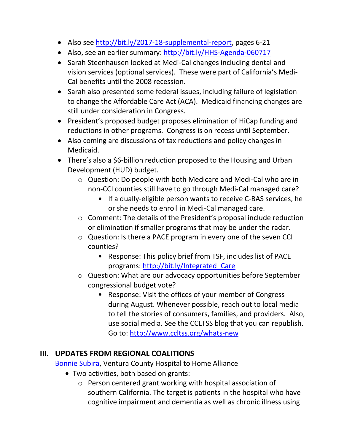- Also see [http://bit.ly/2017-18-supplemental-report,](http://bit.ly/2017-18-supplemental-report) pages 6-21
- Also, see an earlier summary: <http://bit.ly/HHS-Agenda-060717>
- Sarah Steenhausen looked at Medi-Cal changes including dental and vision services (optional services). These were part of California's Medi-Cal benefits until the 2008 recession.
- Sarah also presented some federal issues, including failure of legislation to change the Affordable Care Act (ACA). Medicaid financing changes are still under consideration in Congress.
- President's proposed budget proposes elimination of HiCap funding and reductions in other programs. Congress is on recess until September.
- Also coming are discussions of tax reductions and policy changes in Medicaid.
- There's also a \$6-billion reduction proposed to the Housing and Urban Development (HUD) budget.
	- o Question: Do people with both Medicare and Medi-Cal who are in non-CCI counties still have to go through Medi-Cal managed care?
		- If a dually-eligible person wants to receive C-BAS services, he or she needs to enroll in Medi-Cal managed care.
	- o Comment: The details of the President's proposal include reduction or elimination if smaller programs that may be under the radar.
	- o Question: Is there a PACE program in every one of the seven CCI counties?
		- Response: This policy brief from TSF, includes list of PACE programs: [http://bit.ly/Integrated\\_Care](http://bit.ly/Integrated_Care)
	- o Question: What are our advocacy opportunities before September congressional budget vote?
		- Response: Visit the offices of your member of Congress during August. Whenever possible, reach out to local media to tell the stories of consumers, families, and providers. Also, use social media. See the CCLTSS blog that you can republish. Go to:<http://www.ccltss.org/whats-new>

## **III. UPDATES FROM REGIONAL COALITIONS**

[Bonnie Subira,](mailto:bsubira@cmhshealth.org) Ventura County Hospital to Home Alliance

- Two activities, both based on grants:
	- o Person centered grant working with hospital association of southern California. The target is patients in the hospital who have cognitive impairment and dementia as well as chronic illness using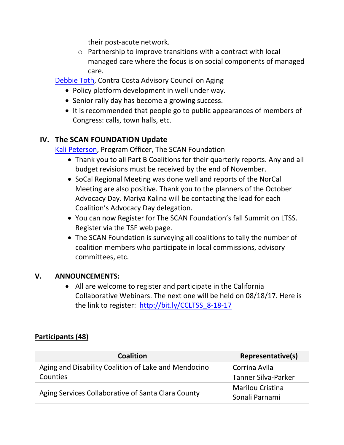their post-acute network.

o Partnership to improve transitions with a contract with local managed care where the focus is on social components of managed care.

[Debbie Toth,](mailto:dtoth@choiceinaging.org) Contra Costa Advisory Council on Aging

- Policy platform development in well under way.
- Senior rally day has become a growing success.
- It is recommended that people go to public appearances of members of Congress: calls, town halls, etc.

## **IV. The SCAN FOUNDATION Update**

[Kali Peterson,](mailto:Kpeterson@thescanfoundation.org) Program Officer, The SCAN Foundation

- Thank you to all Part B Coalitions for their quarterly reports. Any and all budget revisions must be received by the end of November.
- SoCal Regional Meeting was done well and reports of the NorCal Meeting are also positive. Thank you to the planners of the October Advocacy Day. Mariya Kalina will be contacting the lead for each Coalition's Advocacy Day delegation.
- You can now Register for The SCAN Foundation's fall Summit on LTSS. Register via the TSF web page.
- The SCAN Foundation is surveying all coalitions to tally the number of coalition members who participate in local commissions, advisory committees, etc.

#### **V. ANNOUNCEMENTS:**

• All are welcome to register and participate in the California Collaborative Webinars. The next one will be held on 08/18/17. Here is the link to register: [http://bit.ly/CCLTSS\\_8-18-17](http://bit.ly/CCLTSS_8-18-17)

#### **Participants (48)**

| Coalition                                            | Representative(s)       |
|------------------------------------------------------|-------------------------|
| Aging and Disability Coalition of Lake and Mendocino | Corrina Avila           |
| Counties                                             | Tanner Silva-Parker     |
| Aging Services Collaborative of Santa Clara County   | <b>Marilou Cristina</b> |
|                                                      | Sonali Parnami          |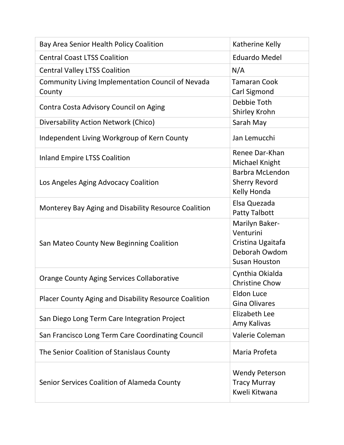| Bay Area Senior Health Policy Coalition                            | Katherine Kelly                                                                           |
|--------------------------------------------------------------------|-------------------------------------------------------------------------------------------|
| <b>Central Coast LTSS Coalition</b>                                | <b>Eduardo Medel</b>                                                                      |
| <b>Central Valley LTSS Coalition</b>                               | N/A                                                                                       |
| <b>Community Living Implementation Council of Nevada</b><br>County | <b>Tamaran Cook</b><br>Carl Sigmond                                                       |
| Contra Costa Advisory Council on Aging                             | Debbie Toth<br><b>Shirley Krohn</b>                                                       |
| Diversability Action Network (Chico)                               | Sarah May                                                                                 |
| Independent Living Workgroup of Kern County                        | Jan Lemucchi                                                                              |
| <b>Inland Empire LTSS Coalition</b>                                | Renee Dar-Khan<br>Michael Knight                                                          |
| Los Angeles Aging Advocacy Coalition                               | <b>Barbra McLendon</b><br><b>Sherry Revord</b><br>Kelly Honda                             |
| Monterey Bay Aging and Disability Resource Coalition               | Elsa Quezada<br><b>Patty Talbott</b>                                                      |
| San Mateo County New Beginning Coalition                           | Marilyn Baker-<br>Venturini<br>Cristina Ugaitafa<br>Deborah Owdom<br><b>Susan Houston</b> |
| <b>Orange County Aging Services Collaborative</b>                  | Cynthia Okialda<br><b>Christine Chow</b>                                                  |
| Placer County Aging and Disability Resource Coalition              | <b>Eldon Luce</b><br><b>Gina Olivares</b>                                                 |
| San Diego Long Term Care Integration Project                       | Elizabeth Lee<br>Amy Kalivas                                                              |
| San Francisco Long Term Care Coordinating Council                  | Valerie Coleman                                                                           |
| The Senior Coalition of Stanislaus County                          | Maria Profeta                                                                             |
| Senior Services Coalition of Alameda County                        | <b>Wendy Peterson</b><br><b>Tracy Murray</b><br>Kweli Kitwana                             |